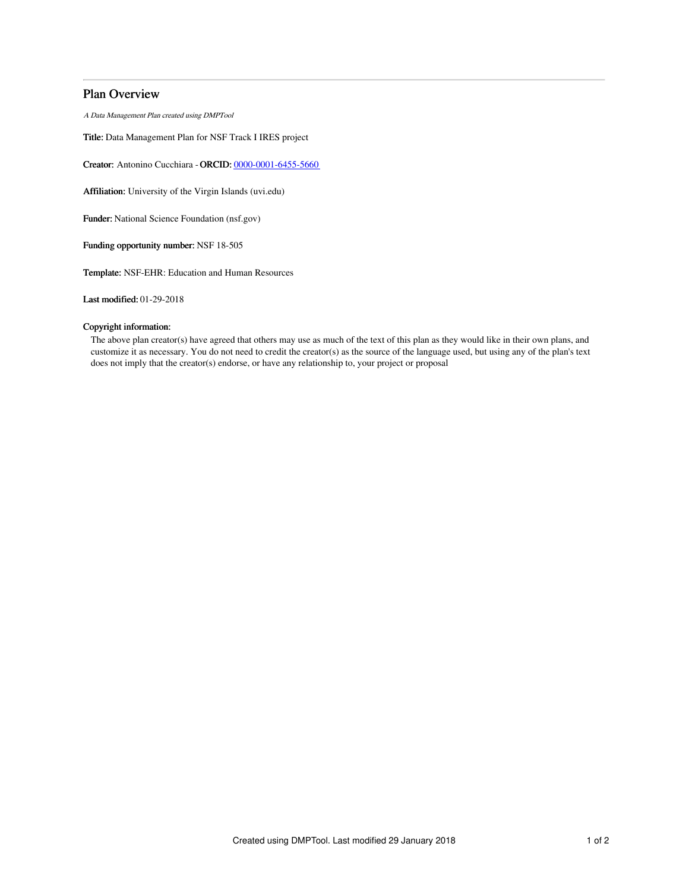## Plan Overview

A Data Management Plan created using DMPTool

Title: Data Management Plan for NSF Track I IRES project

Creator: Antonino Cucchiara -ORCID: [0000-0001-6455-5660](https://orcid.org/0000-0001-6455-5660)

Affiliation: University of the Virgin Islands (uvi.edu)

Funder: National Science Foundation (nsf.gov)

Funding opportunity number: NSF 18-505

Template: NSF-EHR: Education and Human Resources

Last modified: 01-29-2018

## Copyright information:

The above plan creator(s) have agreed that others may use as much of the text of this plan as they would like in their own plans, and customize it as necessary. You do not need to credit the creator(s) as the source of the language used, but using any of the plan's text does not imply that the creator(s) endorse, or have any relationship to, your project or proposal